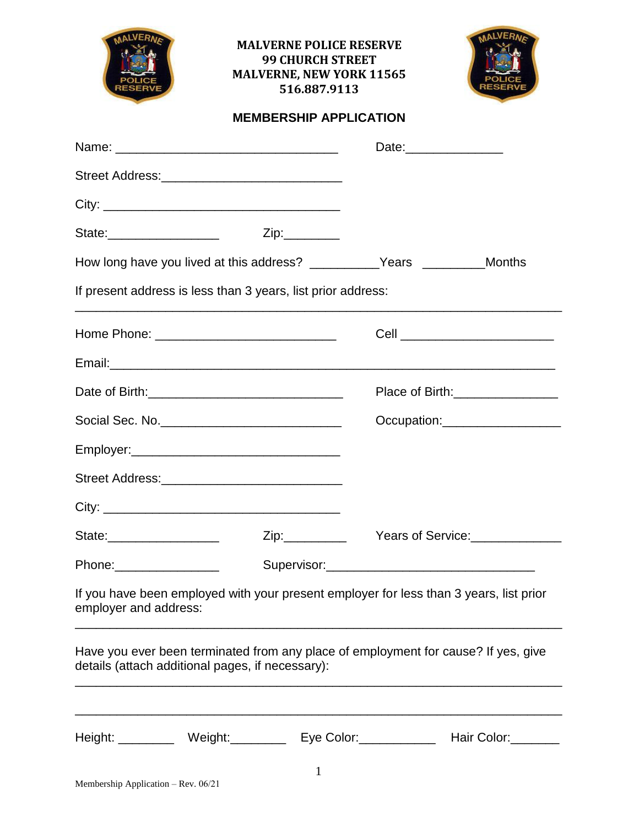|                                     | <b>MALVERNE POLICE RESERVE</b><br><b>99 CHURCH STREET</b><br><b>MALVERNE, NEW YORK 11565</b><br>516.887.9113                           |                               |                                   |
|-------------------------------------|----------------------------------------------------------------------------------------------------------------------------------------|-------------------------------|-----------------------------------|
|                                     |                                                                                                                                        | <b>MEMBERSHIP APPLICATION</b> |                                   |
|                                     |                                                                                                                                        |                               | Date:__________________           |
|                                     | Street Address: ________________________________                                                                                       |                               |                                   |
|                                     |                                                                                                                                        |                               |                                   |
|                                     | State:_______________________   Zip:_________                                                                                          |                               |                                   |
|                                     | How long have you lived at this address? ____________Years __________Months                                                            |                               |                                   |
|                                     | If present address is less than 3 years, list prior address:                                                                           |                               |                                   |
|                                     |                                                                                                                                        |                               | Cell ____________________________ |
|                                     |                                                                                                                                        |                               |                                   |
|                                     |                                                                                                                                        |                               | Place of Birth:_________________  |
|                                     |                                                                                                                                        |                               | Occupation:____________________   |
|                                     |                                                                                                                                        |                               |                                   |
|                                     |                                                                                                                                        |                               |                                   |
|                                     |                                                                                                                                        |                               |                                   |
| State:___________________           |                                                                                                                                        |                               |                                   |
|                                     |                                                                                                                                        |                               |                                   |
| employer and address:               | If you have been employed with your present employer for less than 3 years, list prior                                                 |                               |                                   |
|                                     | Have you ever been terminated from any place of employment for cause? If yes, give<br>details (attach additional pages, if necessary): |                               |                                   |
|                                     | Height: Weight: Weight: Eye Color: Hair Color:                                                                                         |                               |                                   |
| Membership Application - Rev. 06/21 |                                                                                                                                        | $\mathbf{1}$                  |                                   |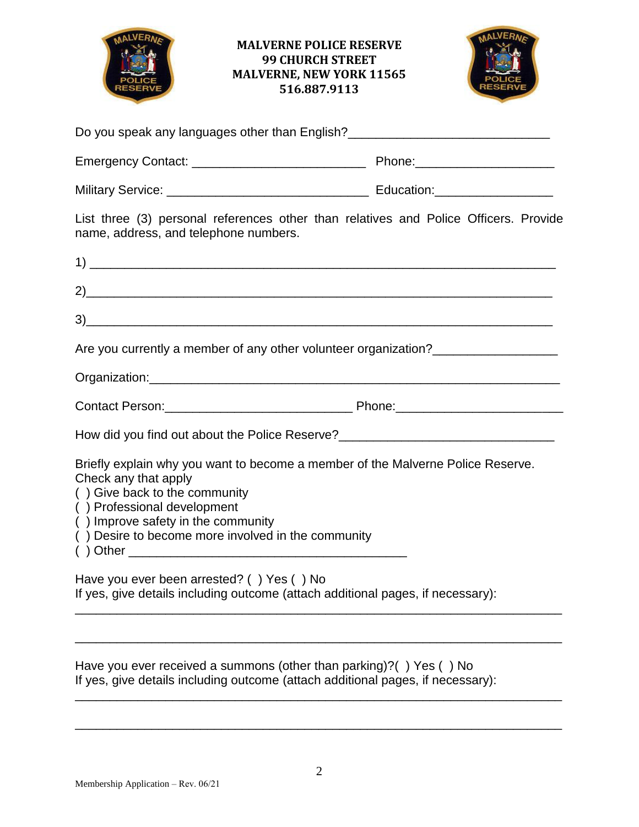



| name, address, and telephone numbers.                                                                                                                                            | List three (3) personal references other than relatives and Police Officers. Provide |
|----------------------------------------------------------------------------------------------------------------------------------------------------------------------------------|--------------------------------------------------------------------------------------|
|                                                                                                                                                                                  |                                                                                      |
|                                                                                                                                                                                  |                                                                                      |
|                                                                                                                                                                                  |                                                                                      |
|                                                                                                                                                                                  | Are you currently a member of any other volunteer organization?                      |
|                                                                                                                                                                                  |                                                                                      |
|                                                                                                                                                                                  |                                                                                      |
|                                                                                                                                                                                  | How did you find out about the Police Reserve?__________________________________     |
| Check any that apply<br>() Give back to the community<br>() Professional development<br>() Improve safety in the community<br>() Desire to become more involved in the community | Briefly explain why you want to become a member of the Malverne Police Reserve.      |
| Have you ever been arrested? () Yes () No                                                                                                                                        | If yes, give details including outcome (attach additional pages, if necessary):      |
|                                                                                                                                                                                  |                                                                                      |
|                                                                                                                                                                                  |                                                                                      |

Have you ever received a summons (other than parking)?( ) Yes ( ) No If yes, give details including outcome (attach additional pages, if necessary):

\_\_\_\_\_\_\_\_\_\_\_\_\_\_\_\_\_\_\_\_\_\_\_\_\_\_\_\_\_\_\_\_\_\_\_\_\_\_\_\_\_\_\_\_\_\_\_\_\_\_\_\_\_\_\_\_\_\_\_\_\_\_\_\_\_\_\_\_\_\_

\_\_\_\_\_\_\_\_\_\_\_\_\_\_\_\_\_\_\_\_\_\_\_\_\_\_\_\_\_\_\_\_\_\_\_\_\_\_\_\_\_\_\_\_\_\_\_\_\_\_\_\_\_\_\_\_\_\_\_\_\_\_\_\_\_\_\_\_\_\_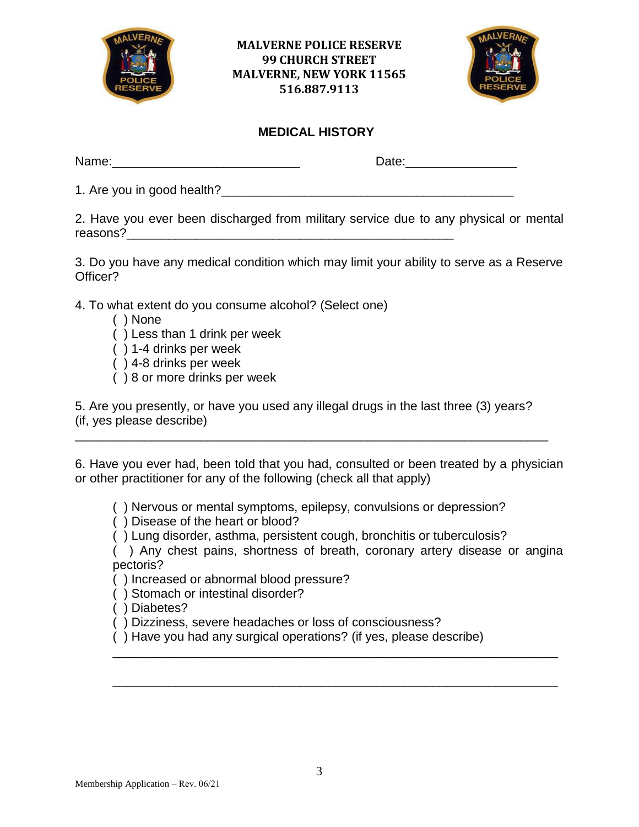



#### **MEDICAL HISTORY**

| Name: | Date: |
|-------|-------|
|       |       |

1. Are you in good health?\_\_\_\_\_\_\_\_\_\_\_\_\_\_\_\_\_\_\_\_\_\_\_\_\_\_\_\_\_\_\_\_\_\_\_\_\_\_\_\_\_\_

2. Have you ever been discharged from military service due to any physical or mental reasons?

3. Do you have any medical condition which may limit your ability to serve as a Reserve Officer?

4. To what extent do you consume alcohol? (Select one)

- ( ) None
- ( ) Less than 1 drink per week
- ( ) 1-4 drinks per week
- ( ) 4-8 drinks per week
- ( ) 8 or more drinks per week

5. Are you presently, or have you used any illegal drugs in the last three (3) years? (if, yes please describe)

\_\_\_\_\_\_\_\_\_\_\_\_\_\_\_\_\_\_\_\_\_\_\_\_\_\_\_\_\_\_\_\_\_\_\_\_\_\_\_\_\_\_\_\_\_\_\_\_\_\_\_\_\_\_\_\_\_\_\_\_\_\_\_\_\_\_\_\_

6. Have you ever had, been told that you had, consulted or been treated by a physician or other practitioner for any of the following (check all that apply)

( ) Nervous or mental symptoms, epilepsy, convulsions or depression?

( ) Disease of the heart or blood?

( ) Lung disorder, asthma, persistent cough, bronchitis or tuberculosis?

( ) Any chest pains, shortness of breath, coronary artery disease or angina pectoris?

\_\_\_\_\_\_\_\_\_\_\_\_\_\_\_\_\_\_\_\_\_\_\_\_\_\_\_\_\_\_\_\_\_\_\_\_\_\_\_\_\_\_\_\_\_\_\_\_\_\_\_\_\_\_\_\_\_\_\_\_\_\_\_\_

\_\_\_\_\_\_\_\_\_\_\_\_\_\_\_\_\_\_\_\_\_\_\_\_\_\_\_\_\_\_\_\_\_\_\_\_\_\_\_\_\_\_\_\_\_\_\_\_\_\_\_\_\_\_\_\_\_\_\_\_\_\_\_\_

( ) Increased or abnormal blood pressure?

( ) Stomach or intestinal disorder?

( ) Diabetes?

( ) Dizziness, severe headaches or loss of consciousness?

( ) Have you had any surgical operations? (if yes, please describe)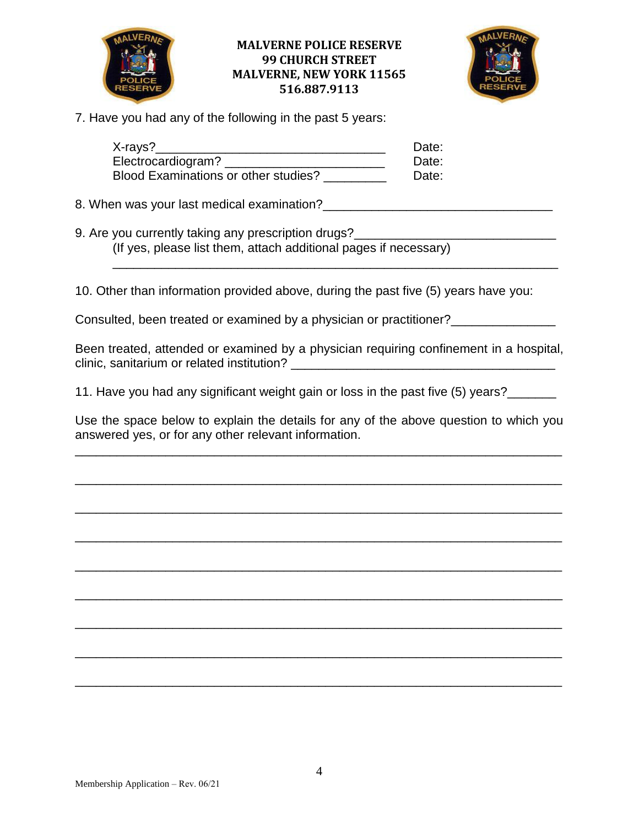



7. Have you had any of the following in the past 5 years:

| $X$ -rays?                           | Date: |
|--------------------------------------|-------|
| Electrocardiogram?                   | Date: |
| Blood Examinations or other studies? | Date: |

8. When was your last medical examination?\_\_\_\_\_\_\_\_\_\_\_\_\_\_\_\_\_\_\_\_\_\_\_\_\_\_\_\_\_\_\_\_\_

9. Are you currently taking any prescription drugs? (If yes, please list them, attach additional pages if necessary) \_\_\_\_\_\_\_\_\_\_\_\_\_\_\_\_\_\_\_\_\_\_\_\_\_\_\_\_\_\_\_\_\_\_\_\_\_\_\_\_\_\_\_\_\_\_\_\_\_\_\_\_\_\_\_\_\_\_\_\_\_\_\_\_

10. Other than information provided above, during the past five (5) years have you:

Consulted, been treated or examined by a physician or practitioner?<br>\_\_\_\_\_\_\_\_\_\_\_\_\_

Been treated, attended or examined by a physician requiring confinement in a hospital, clinic, sanitarium or related institution?

11. Have you had any significant weight gain or loss in the past five (5) years?\_\_\_\_\_\_

Use the space below to explain the details for any of the above question to which you answered yes, or for any other relevant information.

\_\_\_\_\_\_\_\_\_\_\_\_\_\_\_\_\_\_\_\_\_\_\_\_\_\_\_\_\_\_\_\_\_\_\_\_\_\_\_\_\_\_\_\_\_\_\_\_\_\_\_\_\_\_\_\_\_\_\_\_\_\_\_\_\_\_\_\_\_\_

\_\_\_\_\_\_\_\_\_\_\_\_\_\_\_\_\_\_\_\_\_\_\_\_\_\_\_\_\_\_\_\_\_\_\_\_\_\_\_\_\_\_\_\_\_\_\_\_\_\_\_\_\_\_\_\_\_\_\_\_\_\_\_\_\_\_\_\_\_\_

\_\_\_\_\_\_\_\_\_\_\_\_\_\_\_\_\_\_\_\_\_\_\_\_\_\_\_\_\_\_\_\_\_\_\_\_\_\_\_\_\_\_\_\_\_\_\_\_\_\_\_\_\_\_\_\_\_\_\_\_\_\_\_\_\_\_\_\_\_\_

\_\_\_\_\_\_\_\_\_\_\_\_\_\_\_\_\_\_\_\_\_\_\_\_\_\_\_\_\_\_\_\_\_\_\_\_\_\_\_\_\_\_\_\_\_\_\_\_\_\_\_\_\_\_\_\_\_\_\_\_\_\_\_\_\_\_\_\_\_\_

\_\_\_\_\_\_\_\_\_\_\_\_\_\_\_\_\_\_\_\_\_\_\_\_\_\_\_\_\_\_\_\_\_\_\_\_\_\_\_\_\_\_\_\_\_\_\_\_\_\_\_\_\_\_\_\_\_\_\_\_\_\_\_\_\_\_\_\_\_\_

\_\_\_\_\_\_\_\_\_\_\_\_\_\_\_\_\_\_\_\_\_\_\_\_\_\_\_\_\_\_\_\_\_\_\_\_\_\_\_\_\_\_\_\_\_\_\_\_\_\_\_\_\_\_\_\_\_\_\_\_\_\_\_\_\_\_\_\_\_\_

\_\_\_\_\_\_\_\_\_\_\_\_\_\_\_\_\_\_\_\_\_\_\_\_\_\_\_\_\_\_\_\_\_\_\_\_\_\_\_\_\_\_\_\_\_\_\_\_\_\_\_\_\_\_\_\_\_\_\_\_\_\_\_\_\_\_\_\_\_\_

\_\_\_\_\_\_\_\_\_\_\_\_\_\_\_\_\_\_\_\_\_\_\_\_\_\_\_\_\_\_\_\_\_\_\_\_\_\_\_\_\_\_\_\_\_\_\_\_\_\_\_\_\_\_\_\_\_\_\_\_\_\_\_\_\_\_\_\_\_\_

\_\_\_\_\_\_\_\_\_\_\_\_\_\_\_\_\_\_\_\_\_\_\_\_\_\_\_\_\_\_\_\_\_\_\_\_\_\_\_\_\_\_\_\_\_\_\_\_\_\_\_\_\_\_\_\_\_\_\_\_\_\_\_\_\_\_\_\_\_\_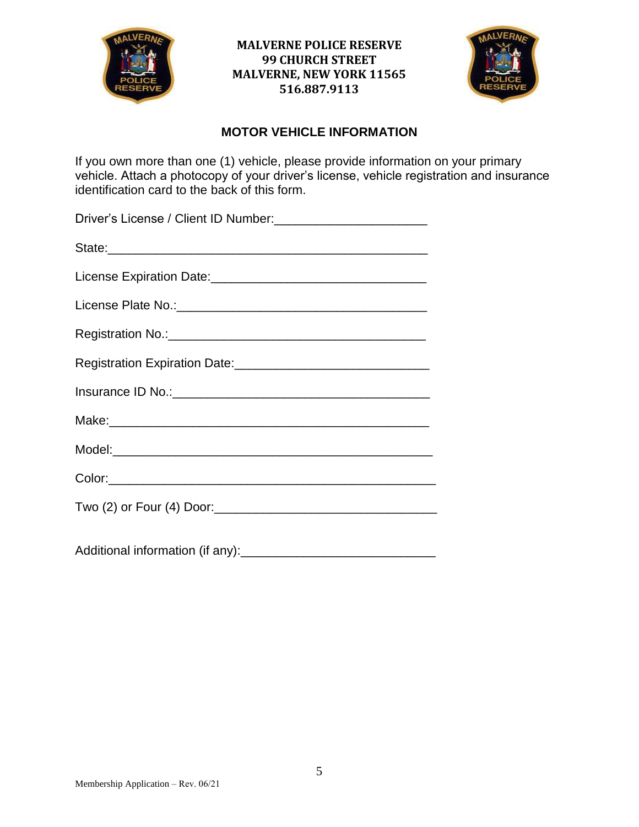



#### **MOTOR VEHICLE INFORMATION**

If you own more than one (1) vehicle, please provide information on your primary vehicle. Attach a photocopy of your driver's license, vehicle registration and insurance identification card to the back of this form.

| Registration No.: Management Contract and Contract of the Registration No.: |
|-----------------------------------------------------------------------------|
| Registration Expiration Date:<br><u> Legistration Expiration Date:</u>      |
|                                                                             |
|                                                                             |
|                                                                             |
|                                                                             |
|                                                                             |
|                                                                             |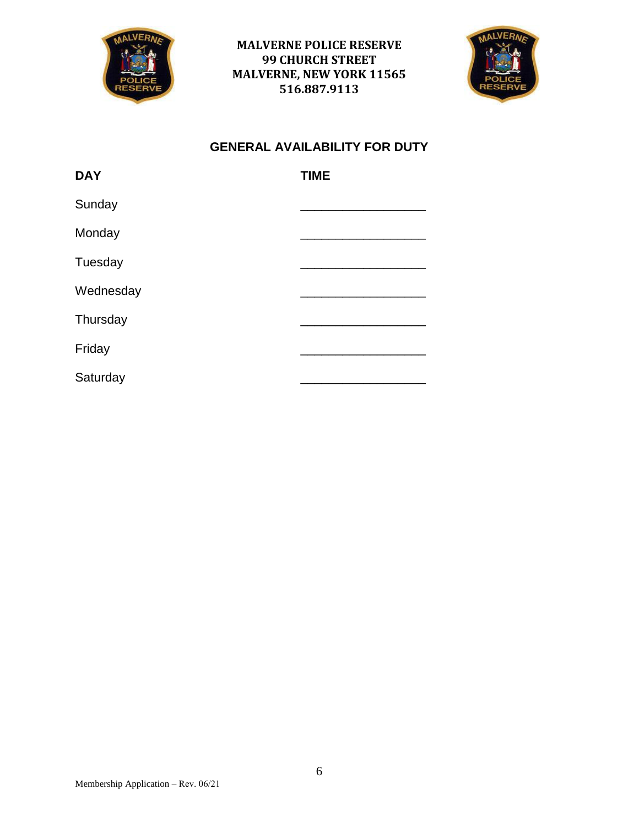



### **GENERAL AVAILABILITY FOR DUTY**

| <b>DAY</b> | <b>TIME</b> |
|------------|-------------|
| Sunday     |             |
| Monday     |             |
| Tuesday    |             |
| Wednesday  |             |
| Thursday   |             |
| Friday     |             |
| Saturday   |             |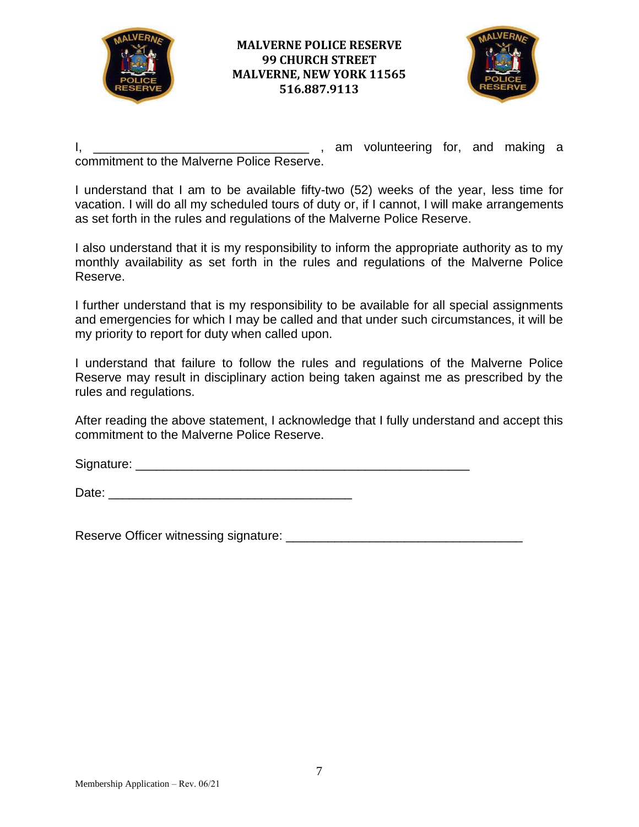



I, \_\_\_\_\_\_\_\_\_\_\_\_\_\_\_\_\_\_\_\_\_\_\_\_\_\_\_\_\_\_\_ , am volunteering for, and making a commitment to the Malverne Police Reserve.

I understand that I am to be available fifty-two (52) weeks of the year, less time for vacation. I will do all my scheduled tours of duty or, if I cannot, I will make arrangements as set forth in the rules and regulations of the Malverne Police Reserve.

I also understand that it is my responsibility to inform the appropriate authority as to my monthly availability as set forth in the rules and regulations of the Malverne Police Reserve.

I further understand that is my responsibility to be available for all special assignments and emergencies for which I may be called and that under such circumstances, it will be my priority to report for duty when called upon.

I understand that failure to follow the rules and regulations of the Malverne Police Reserve may result in disciplinary action being taken against me as prescribed by the rules and regulations.

After reading the above statement, I acknowledge that I fully understand and accept this commitment to the Malverne Police Reserve.

Signature: \_\_\_\_\_\_\_\_\_\_\_\_\_\_\_\_\_\_\_\_\_\_\_\_\_\_\_\_\_\_\_\_\_\_\_\_\_\_\_\_\_\_\_\_\_\_\_\_

Date: \_\_\_\_\_\_\_\_\_\_\_\_\_\_\_\_\_\_\_\_\_\_\_\_\_\_\_\_\_\_\_\_\_\_\_

Reserve Officer witnessing signature: \_\_\_\_\_\_\_\_\_\_\_\_\_\_\_\_\_\_\_\_\_\_\_\_\_\_\_\_\_\_\_\_\_\_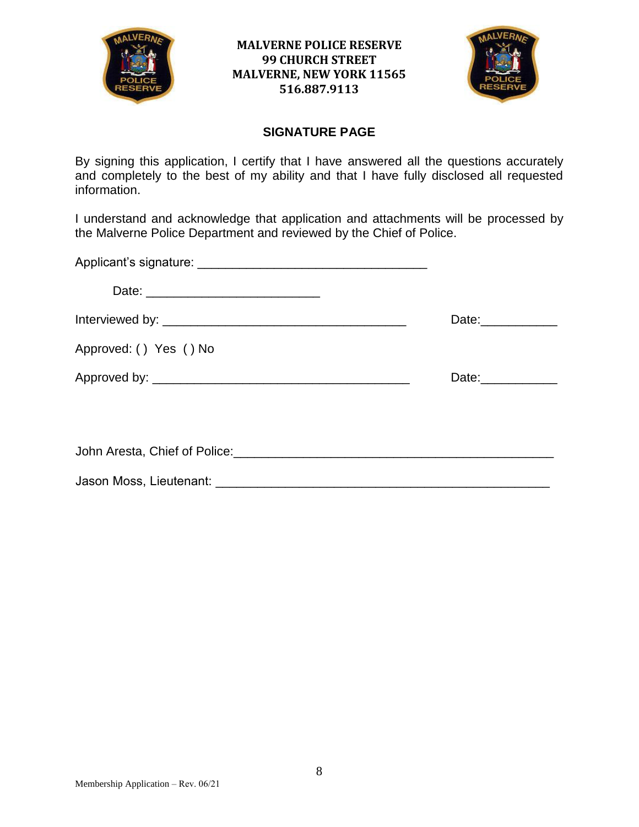



#### **SIGNATURE PAGE**

By signing this application, I certify that I have answered all the questions accurately and completely to the best of my ability and that I have fully disclosed all requested information.

I understand and acknowledge that application and attachments will be processed by the Malverne Police Department and reviewed by the Chief of Police.

|                        | Date: _____________ |
|------------------------|---------------------|
| Approved: () Yes () No |                     |
|                        | Date:___________    |
|                        |                     |
|                        |                     |
|                        |                     |
|                        |                     |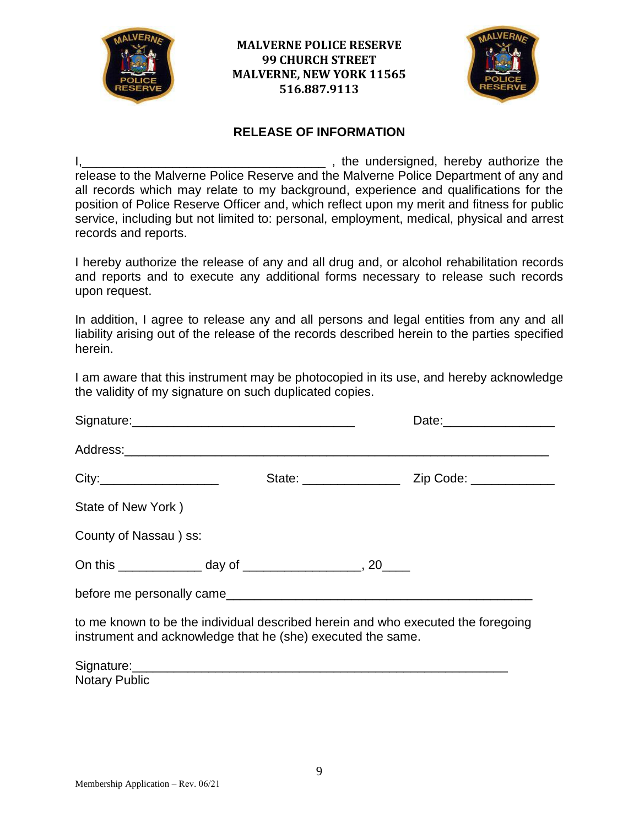



#### **RELEASE OF INFORMATION**

I, the undersigned, hereby authorize the release to the Malverne Police Reserve and the Malverne Police Department of any and all records which may relate to my background, experience and qualifications for the position of Police Reserve Officer and, which reflect upon my merit and fitness for public service, including but not limited to: personal, employment, medical, physical and arrest records and reports.

I hereby authorize the release of any and all drug and, or alcohol rehabilitation records and reports and to execute any additional forms necessary to release such records upon request.

In addition, I agree to release any and all persons and legal entities from any and all liability arising out of the release of the records described herein to the parties specified herein.

I am aware that this instrument may be photocopied in its use, and hereby acknowledge the validity of my signature on such duplicated copies.

| State of New York)                                                                                                                                                                                                            |  |  |
|-------------------------------------------------------------------------------------------------------------------------------------------------------------------------------------------------------------------------------|--|--|
| County of Nassau) ss:                                                                                                                                                                                                         |  |  |
|                                                                                                                                                                                                                               |  |  |
| before me personally came example and a series of the series of the series of the series of the series of the series of the series of the series of the series of the series of the series of the series of the series of the |  |  |
| to me known to be the individual described herein and who executed the foregoing<br>instrument and acknowledge that he (she) executed the same.                                                                               |  |  |

| Signature:           |  |  |
|----------------------|--|--|
| <b>Notary Public</b> |  |  |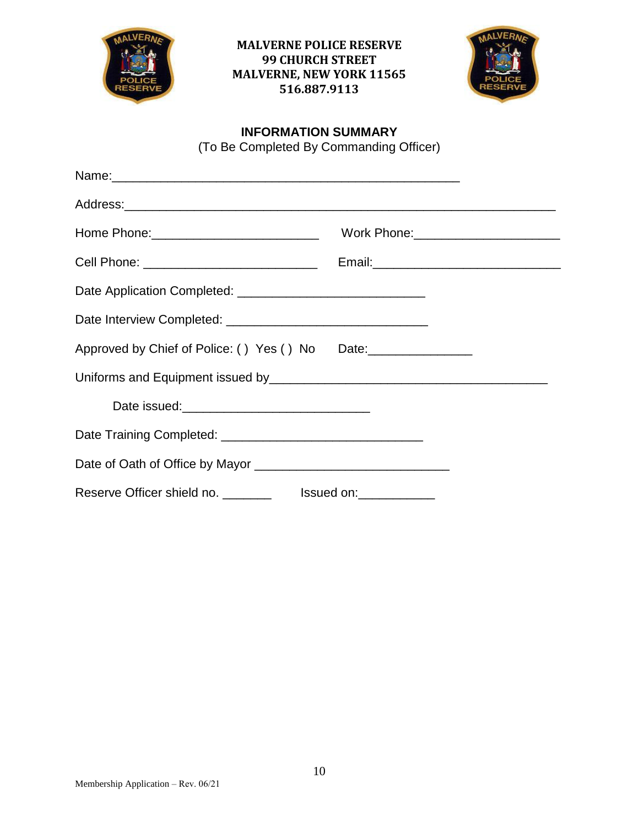



## **INFORMATION SUMMARY**

(To Be Completed By Commanding Officer)

|                                                 | Work Phone: _________________________ |
|-------------------------------------------------|---------------------------------------|
|                                                 |                                       |
|                                                 |                                       |
|                                                 |                                       |
| Approved by Chief of Police: () Yes () No Date: |                                       |
|                                                 |                                       |
|                                                 |                                       |
|                                                 |                                       |
|                                                 |                                       |
|                                                 |                                       |